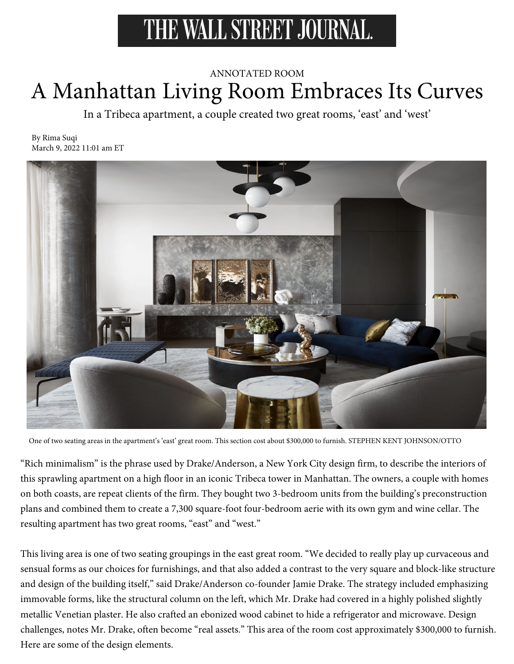# THE WALL STREET JOURNAL.

## ANNOTATED ROOM A Manhattan Living Room Embraces Its Curves

In a Tribeca apartment, a couple created two great rooms, 'east' and 'west'

By Rima Suqi March 9, 2022 11:01 am ET



One of two seating areas in the apartment's 'east' great room. This section cost about \$300,000 to furnish. STEPHEN KENT JOHNSON/OTTO

"Rich minimalism" is the phrase used by Drake/Anderson, a New York City design firm, to describe the interiors of this sprawling apartment on a high floor in an iconic Tribeca tower in Manhattan. The owners, a couple with homes on both coasts, are repeat clients of the firm. They bought two 3-bedroom units from the building's preconstruction plans and combined them to create a 7,300 square-foot four-bedroom aerie with its own gym and wine cellar. The resulting apartment has two great rooms, "east" and "west."

This living area is one of two seating groupings in the east great room. "We decided to really play up curvaceous and sensual forms as our choices for furnishings, and that also added a contrast to the very square and block-like structure and design of the building itself," said Drake/Anderson co-founder Jamie Drake. The strategy included emphasizing immovable forms, like the structural column on the left, which Mr. Drake had covered in a highly polished slightly metallic Venetian plaster. He also crafted an ebonized wood cabinet to hide a refrigerator and microwave. Design challenges, notes Mr. Drake, often become "real assets." This area of the room cost approximately \$300,000 to furnish. Here are some of the design elements.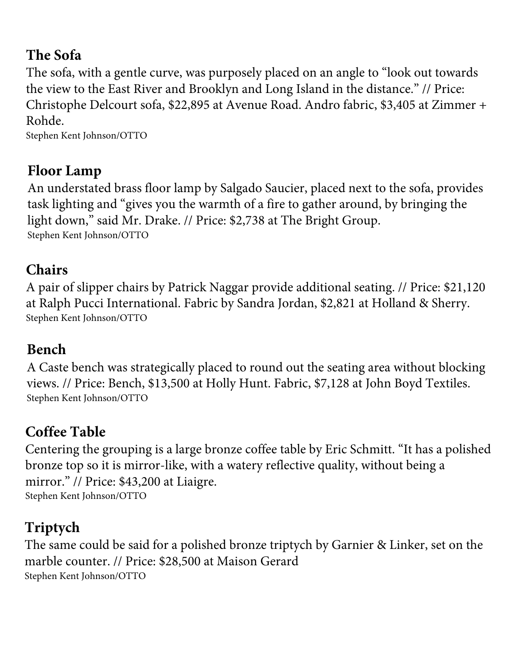#### **The Sofa**

The sofa, with a gentle curve, was purposely placed on an angle to "look out towards the view to the East River and Brooklyn and Long Island in the distance." // Price: Christophe Delcourt sofa, \$22,895 at Avenue Road. Andro fabric, \$3,405 at Zimmer + Rohde.

Stephen Kent Johnson/OTTO

### **Floor Lamp**

An understated brass floor lamp by Salgado Saucier, placed next to the sofa, provides task lighting and "gives you the warmth of a fire to gather around, by bringing the light down," said Mr. Drake. // Price: \$2,738 at The Bright Group. Stephen Kent Johnson/OTTO

### **Chairs**

A pair of slipper chairs by Patrick Naggar provide additional seating. // Price: \$21,120 at Ralph Pucci International. Fabric by Sandra Jordan, \$2,821 at Holland & Sherry. Stephen Kent Johnson/OTTO

## **Bench**

A Caste bench was strategically placed to round out the seating area without blocking views. // Price: Bench, \$13,500 at Holly Hunt. Fabric, \$7,128 at John Boyd Textiles. Stephen Kent Johnson/OTTO

# **Coffee Table**

Centering the grouping is a large bronze coffee table by Eric Schmitt. "It has a polished bronze top so it is mirror-like, with a watery reflective quality, without being a mirror." // Price: \$43,200 at Liaigre. Stephen Kent Johnson/OTTO

# **Triptych**

The same could be said for a polished bronze triptych by Garnier & Linker, set on the marble counter. // Price: \$28,500 at Maison Gerard Stephen Kent Johnson/OTTO